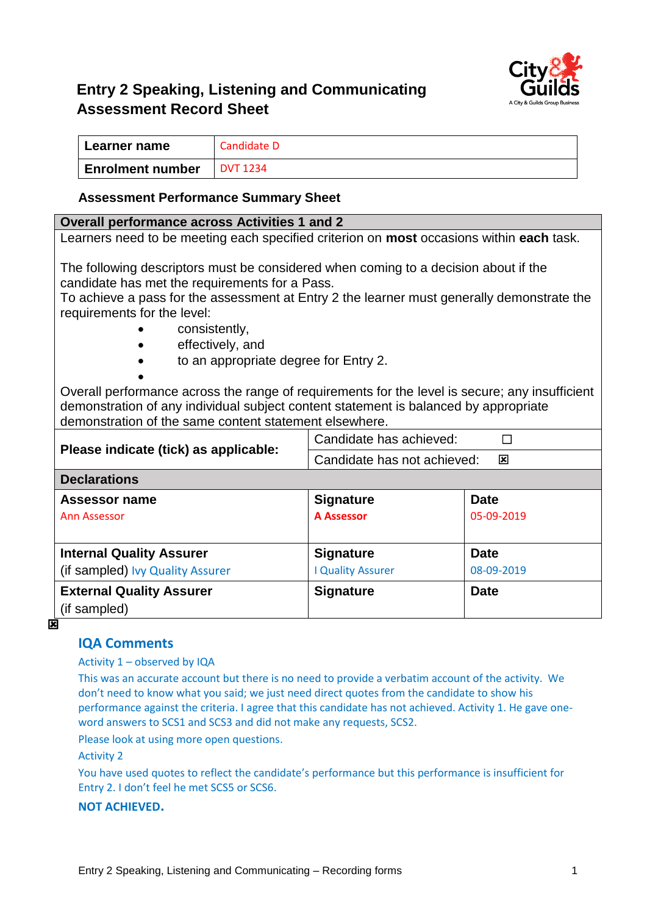

# **Entry 2 Speaking, Listening and Communicating Assessment Record Sheet**

| ∣ Learner name          | Candidate D     |
|-------------------------|-----------------|
| <b>Enrolment number</b> | <b>DVT 1234</b> |

### **Assessment Performance Summary Sheet**

#### **Overall performance across Activities 1 and 2**

Learners need to be meeting each specified criterion on **most** occasions within **each** task.

The following descriptors must be considered when coming to a decision about if the candidate has met the requirements for a Pass.

To achieve a pass for the assessment at Entry 2 the learner must generally demonstrate the requirements for the level:

- consistently,
- effectively, and
	- to an appropriate degree for Entry 2.

Overall performance across the range of requirements for the level is secure; any insufficient demonstration of any individual subject content statement is balanced by appropriate demonstration of the same content statement elsewhere.

|                                       | Candidate has achieved:                                |             |  |  |
|---------------------------------------|--------------------------------------------------------|-------------|--|--|
| Please indicate (tick) as applicable: | Candidate has not achieved:<br>$\overline{\mathbf{x}}$ |             |  |  |
| <b>Declarations</b>                   |                                                        |             |  |  |
| <b>Assessor name</b>                  | <b>Signature</b>                                       | <b>Date</b> |  |  |
| Ann Assessor                          | <b>A Assessor</b>                                      | 05-09-2019  |  |  |
|                                       |                                                        |             |  |  |
| <b>Internal Quality Assurer</b>       | <b>Signature</b>                                       | <b>Date</b> |  |  |
| (if sampled) Ivy Quality Assurer      | <b>I Quality Assurer</b>                               | 08-09-2019  |  |  |
| <b>External Quality Assurer</b>       | <b>Signature</b>                                       | <b>Date</b> |  |  |
| (if sampled)                          |                                                        |             |  |  |

प्रि

## **IQA Comments**

#### Activity 1 – observed by IQA

•

This was an accurate account but there is no need to provide a verbatim account of the activity. We don't need to know what you said; we just need direct quotes from the candidate to show his performance against the criteria. I agree that this candidate has not achieved. Activity 1. He gave oneword answers to SCS1 and SCS3 and did not make any requests, SCS2.

Please look at using more open questions.

Activity 2

You have used quotes to reflect the candidate's performance but this performance is insufficient for Entry 2. I don't feel he met SCS5 or SCS6.

#### **NOT ACHIEVED.**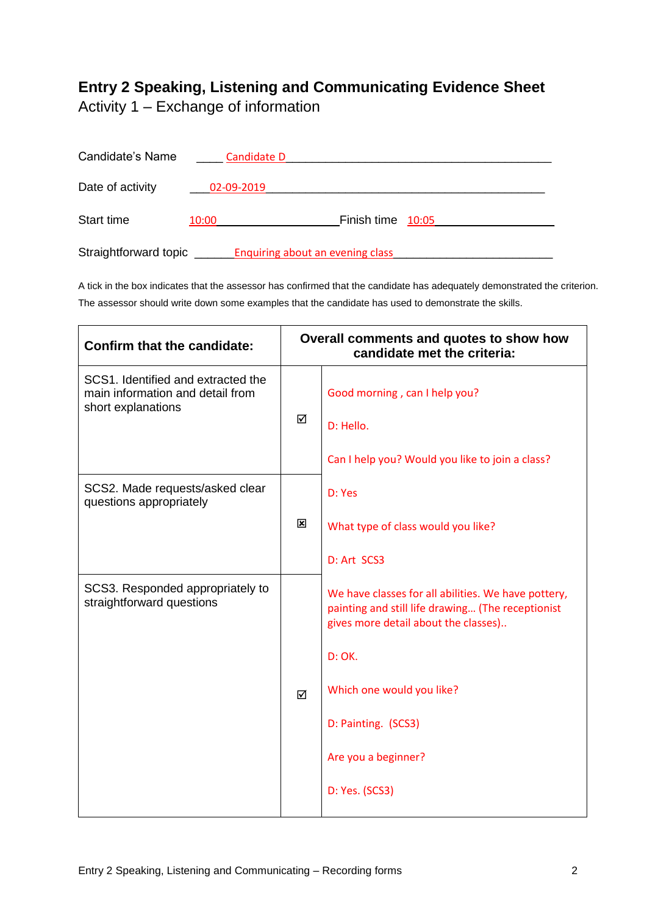# **Entry 2 Speaking, Listening and Communicating Evidence Sheet**

Activity 1 – Exchange of information

| Candidate's Name      | Candidate D |                                         |  |
|-----------------------|-------------|-----------------------------------------|--|
| Date of activity      | 02-09-2019  |                                         |  |
| Start time            | 10:00       | Finish time 10:05                       |  |
| Straightforward topic |             | <b>Enquiring about an evening class</b> |  |

A tick in the box indicates that the assessor has confirmed that the candidate has adequately demonstrated the criterion. The assessor should write down some examples that the candidate has used to demonstrate the skills.

| <b>Confirm that the candidate:</b>                                                           | Overall comments and quotes to show how<br>candidate met the criteria: |                                                                                                                                                                                                                                                         |
|----------------------------------------------------------------------------------------------|------------------------------------------------------------------------|---------------------------------------------------------------------------------------------------------------------------------------------------------------------------------------------------------------------------------------------------------|
| SCS1. Identified and extracted the<br>main information and detail from<br>short explanations | ☑                                                                      | Good morning, can I help you?<br>D: Hello.<br>Can I help you? Would you like to join a class?                                                                                                                                                           |
| SCS2. Made requests/asked clear<br>questions appropriately                                   | 図                                                                      | D: Yes<br>What type of class would you like?<br>D: Art SCS3                                                                                                                                                                                             |
| SCS3. Responded appropriately to<br>straightforward questions                                | ☑                                                                      | We have classes for all abilities. We have pottery,<br>painting and still life drawing (The receptionist<br>gives more detail about the classes)<br>D: OK.<br>Which one would you like?<br>D: Painting. (SCS3)<br>Are you a beginner?<br>D: Yes. (SCS3) |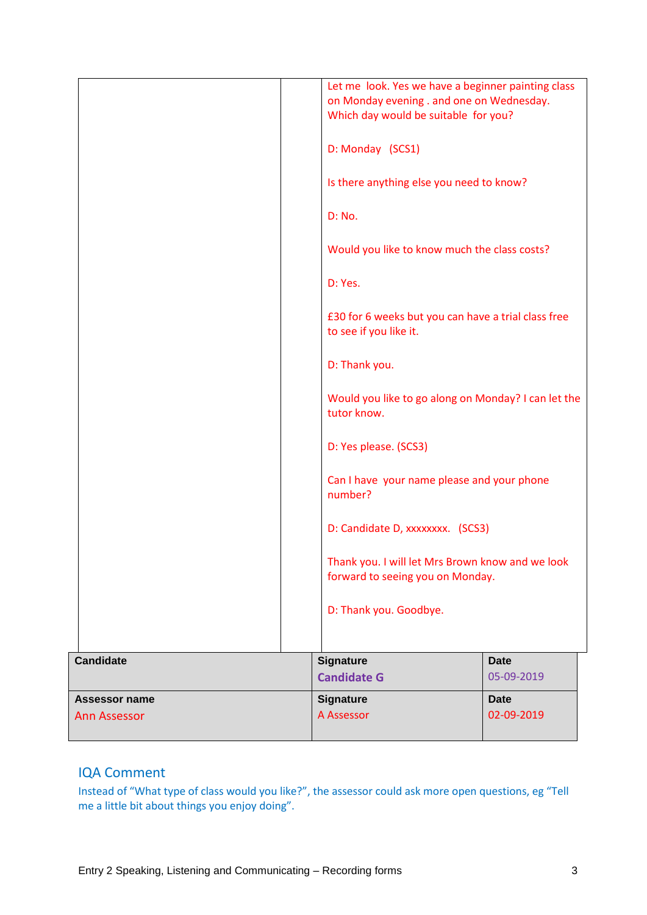| <b>Assessor name</b><br>Ann Assessor | <b>Signature</b><br>A Assessor                                                    | <b>Date</b><br>02-09-2019                           |
|--------------------------------------|-----------------------------------------------------------------------------------|-----------------------------------------------------|
| <b>Candidate</b>                     | <b>Signature</b><br><b>Candidate G</b>                                            | <b>Date</b><br>05-09-2019                           |
|                                      | D: Thank you. Goodbye.                                                            |                                                     |
|                                      | forward to seeing you on Monday.                                                  | Thank you. I will let Mrs Brown know and we look    |
|                                      | D: Candidate D, xxxxxxxx. (SCS3)                                                  |                                                     |
|                                      | Can I have your name please and your phone<br>number?                             |                                                     |
|                                      | D: Yes please. (SCS3)                                                             |                                                     |
|                                      | tutor know.                                                                       | Would you like to go along on Monday? I can let the |
|                                      | D: Thank you.                                                                     |                                                     |
|                                      | £30 for 6 weeks but you can have a trial class free<br>to see if you like it.     |                                                     |
|                                      | D: Yes.                                                                           |                                                     |
|                                      | Would you like to know much the class costs?                                      |                                                     |
|                                      | D: No.                                                                            |                                                     |
|                                      | Is there anything else you need to know?                                          |                                                     |
|                                      | D: Monday (SCS1)                                                                  |                                                     |
|                                      | on Monday evening . and one on Wednesday.<br>Which day would be suitable for you? | Let me look. Yes we have a beginner painting class  |

## IQA Comment

Instead of "What type of class would you like?", the assessor could ask more open questions, eg "Tell me a little bit about things you enjoy doing".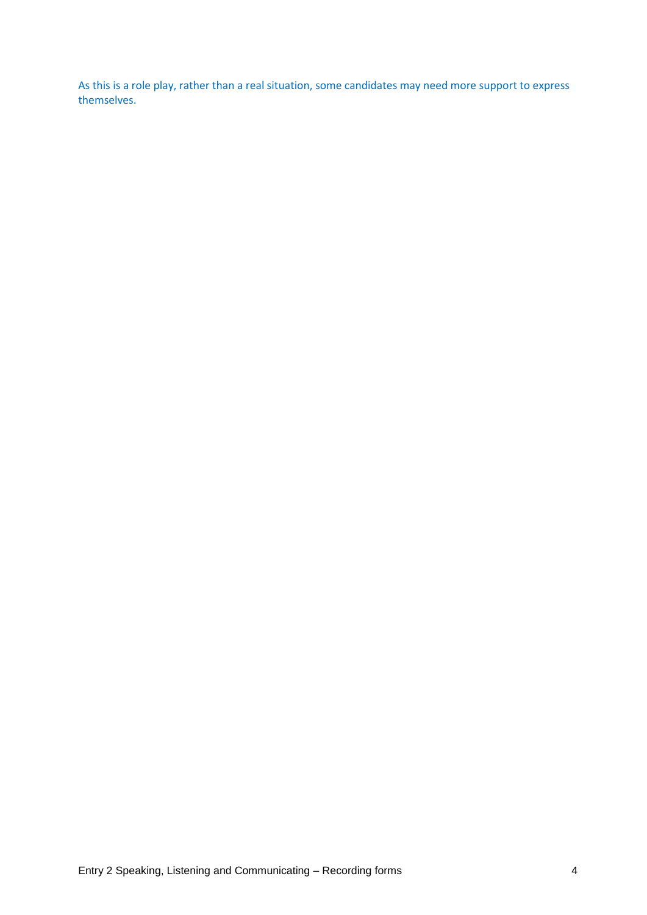As this is a role play, rather than a real situation, some candidates may need more support to express themselves.